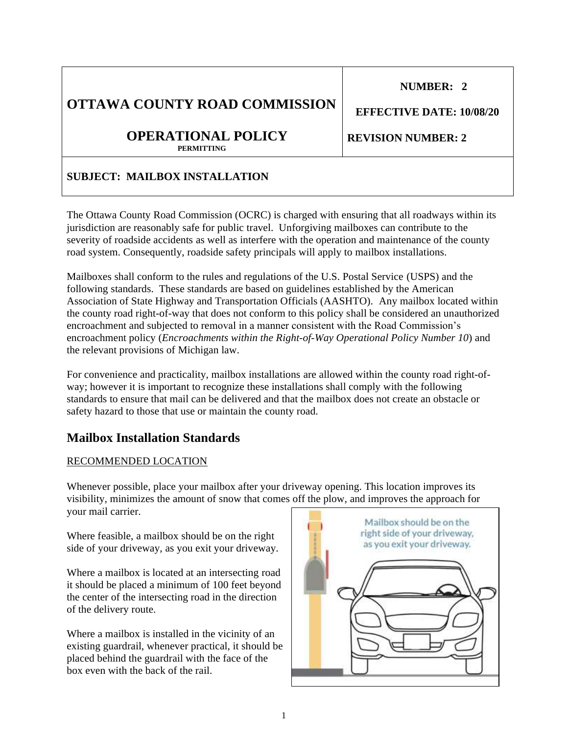1

# **OTTAWA COUNTY ROAD COMMISSION**

#### **OPERATIONAL POLICY PERMITTING**

**SUBJECT: MAILBOX INSTALLATION**

The Ottawa County Road Commission (OCRC) is charged with ensuring that all roadways within its jurisdiction are reasonably safe for public travel. Unforgiving mailboxes can contribute to the severity of roadside accidents as well as interfere with the operation and maintenance of the county road system. Consequently, roadside safety principals will apply to mailbox installations.

Mailboxes shall conform to the rules and regulations of the U.S. Postal Service (USPS) and the following standards. These standards are based on guidelines established by the American Association of State Highway and Transportation Officials (AASHTO). Any mailbox located within the county road right-of-way that does not conform to this policy shall be considered an unauthorized encroachment and subjected to removal in a manner consistent with the Road Commission's encroachment policy (*Encroachments within the Right-of-Way Operational Policy Number 10*) and the relevant provisions of Michigan law.

For convenience and practicality, mailbox installations are allowed within the county road right-ofway; however it is important to recognize these installations shall comply with the following standards to ensure that mail can be delivered and that the mailbox does not create an obstacle or safety hazard to those that use or maintain the county road.

## **Mailbox Installation Standards**

## RECOMMENDED LOCATION

Whenever possible, place your mailbox after your driveway opening. This location improves its visibility, minimizes the amount of snow that comes off the plow, and improves the approach for your mail carrier.

Where feasible, a mailbox should be on the right side of your driveway, as you exit your driveway.

Where a mailbox is located at an intersecting road it should be placed a minimum of 100 feet beyond the center of the intersecting road in the direction of the delivery route.

Where a mailbox is installed in the vicinity of an existing guardrail, whenever practical, it should be placed behind the guardrail with the face of the box even with the back of the rail.





**REVISION NUMBER: 2**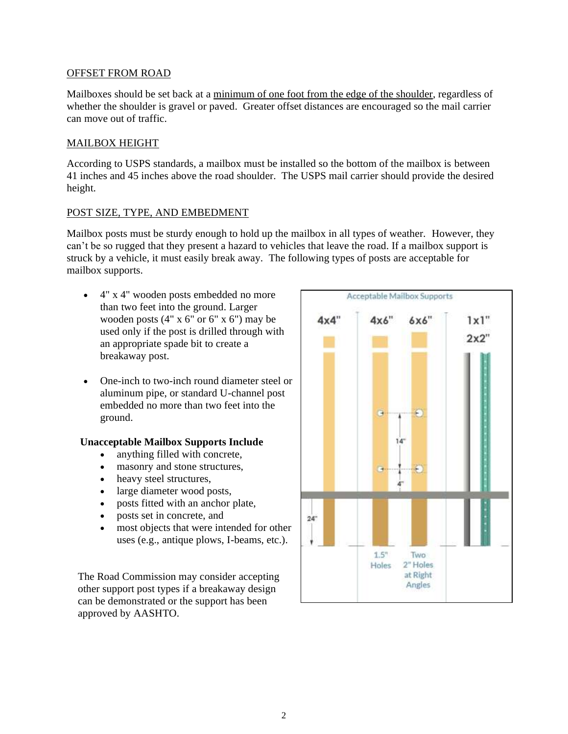### OFFSET FROM ROAD

Mailboxes should be set back at a minimum of one foot from the edge of the shoulder, regardless of whether the shoulder is gravel or paved. Greater offset distances are encouraged so the mail carrier can move out of traffic.

### MAILBOX HEIGHT

According to USPS standards, a mailbox must be installed so the bottom of the mailbox is between 41 inches and 45 inches above the road shoulder. The USPS mail carrier should provide the desired height.

#### POST SIZE, TYPE, AND EMBEDMENT

Mailbox posts must be sturdy enough to hold up the mailbox in all types of weather. However, they can't be so rugged that they present a hazard to vehicles that leave the road. If a mailbox support is struck by a vehicle, it must easily break away. The following types of posts are acceptable for mailbox supports.

- 4" x 4" wooden posts embedded no more than two feet into the ground. Larger wooden posts (4" x 6" or 6" x 6") may be used only if the post is drilled through with an appropriate spade bit to create a breakaway post.
- One-inch to two-inch round diameter steel or aluminum pipe, or standard U-channel post embedded no more than two feet into the ground.

#### **Unacceptable Mailbox Supports Include**

- anything filled with concrete,
- masonry and stone structures,
- heavy steel structures,
- large diameter wood posts,
- posts fitted with an anchor plate,
- posts set in concrete, and
- most objects that were intended for other uses (e.g., antique plows, I-beams, etc.).

The Road Commission may consider accepting other support post types if a breakaway design can be demonstrated or the support has been approved by AASHTO.